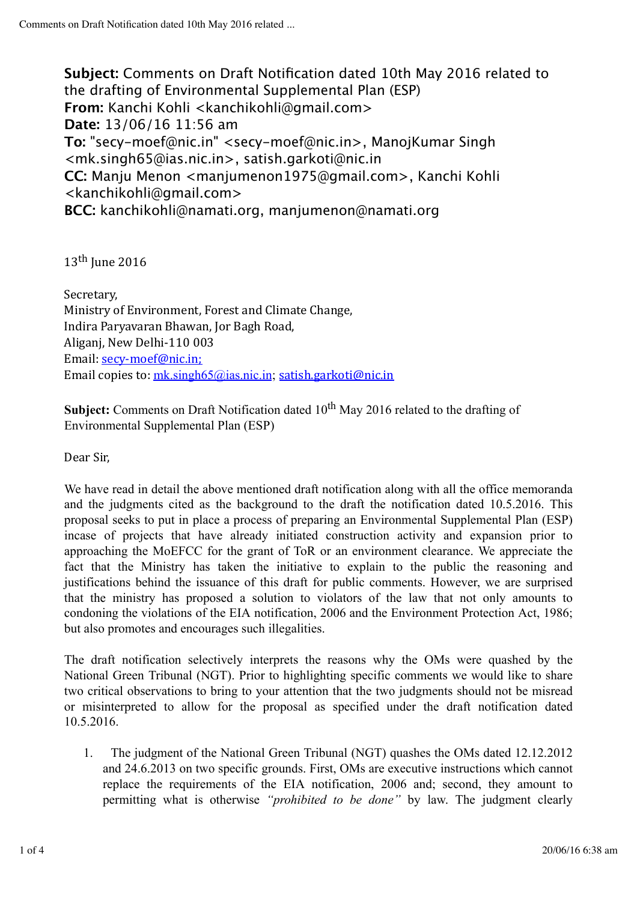**Subject:** Comments on Draft Notification dated 10th May 2016 related to the drafting of Environmental Supplemental Plan (ESP) **From:** Kanchi Kohli <kanchikohli@gmail.com> **Date:** 13/06/16 11:56 am **To:** "secy-moef@nic.in" <secy-moef@nic.in>, ManojKumar Singh <mk.singh65@ias.nic.in>, satish.garkoti@nic.in **CC:** Manju Menon <manjumenon1975@gmail.com>, Kanchi Kohli <kanchikohli@gmail.com> **BCC:** kanchikohli@namati.org, manjumenon@namati.org

13<sup>th</sup> June 2016

Secretary, Ministry of Environment, Forest and Climate Change, Indira Paryavaran Bhawan, Jor Bagh Road, Aliganj, New Delhi-110 003 Email: secy-moef@nic.in; Email copies to:  $mk \sinph 65\omega$ ias.nic.in; satish.garkoti@nic.in

**Subject:** Comments on Draft Notification dated 10<sup>th</sup> May 2016 related to the drafting of Environmental Supplemental Plan (ESP)

Dear Sir,

We have read in detail the above mentioned draft notification along with all the office memoranda and the judgments cited as the background to the draft the notification dated 10.5.2016. This proposal seeks to put in place a process of preparing an Environmental Supplemental Plan (ESP) incase of projects that have already initiated construction activity and expansion prior to approaching the MoEFCC for the grant of ToR or an environment clearance. We appreciate the fact that the Ministry has taken the initiative to explain to the public the reasoning and justifications behind the issuance of this draft for public comments. However, we are surprised that the ministry has proposed a solution to violators of the law that not only amounts to condoning the violations of the EIA notification, 2006 and the Environment Protection Act, 1986; but also promotes and encourages such illegalities.

The draft notification selectively interprets the reasons why the OMs were quashed by the National Green Tribunal (NGT). Prior to highlighting specific comments we would like to share two critical observations to bring to your attention that the two judgments should not be misread or misinterpreted to allow for the proposal as specified under the draft notification dated 10.5.2016.

1. The judgment of the National Green Tribunal (NGT) quashes the OMs dated 12.12.2012 and 24.6.2013 on two specific grounds. First, OMs are executive instructions which cannot replace the requirements of the EIA notification, 2006 and; second, they amount to permitting what is otherwise *"prohibited to be done"* by law. The judgment clearly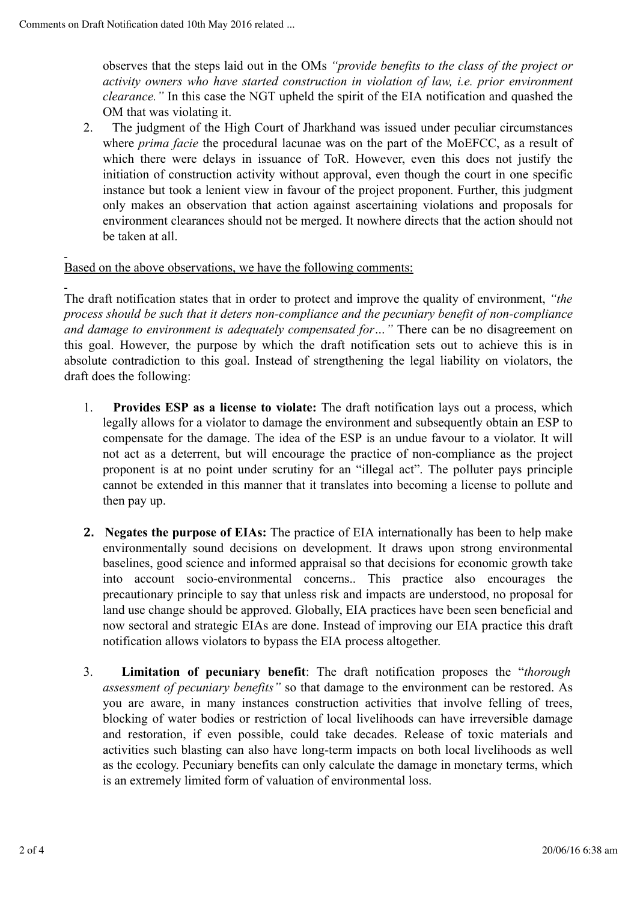observes that the steps laid out in the OMs *"provide benefits to the class of the project or activity owners who have started construction in violation of law, i.e. prior environment clearance."* In this case the NGT upheld the spirit of the EIA notification and quashed the OM that was violating it.

2. The judgment of the High Court of Jharkhand was issued under peculiar circumstances where *prima facie* the procedural lacunae was on the part of the MoEFCC, as a result of which there were delays in issuance of ToR. However, even this does not justify the initiation of construction activity without approval, even though the court in one specific instance but took a lenient view in favour of the project proponent. Further, this judgment only makes an observation that action against ascertaining violations and proposals for environment clearances should not be merged. It nowhere directs that the action should not be taken at all.

## Based on the above observations, we have the following comments:

The draft notification states that in order to protect and improve the quality of environment, *"the process should be such that it deters non-compliance and the pecuniary benefit of non-compliance and damage to environment is adequately compensated for…"* There can be no disagreement on this goal. However, the purpose by which the draft notification sets out to achieve this is in absolute contradiction to this goal. Instead of strengthening the legal liability on violators, the draft does the following:

- 1. **Provides ESP as a license to violate:** The draft notification lays out a process, which legally allows for a violator to damage the environment and subsequently obtain an ESP to compensate for the damage. The idea of the ESP is an undue favour to a violator. It will not act as a deterrent, but will encourage the practice of non-compliance as the project proponent is at no point under scrutiny for an "illegal act". The polluter pays principle cannot be extended in this manner that it translates into becoming a license to pollute and then pay up.
- **2. Negates the purpose of EIAs:** The practice of EIA internationally has been to help make environmentally sound decisions on development. It draws upon strong environmental baselines, good science and informed appraisal so that decisions for economic growth take into account socio-environmental concerns.. This practice also encourages the precautionary principle to say that unless risk and impacts are understood, no proposal for land use change should be approved. Globally, EIA practices have been seen beneficial and now sectoral and strategic EIAs are done. Instead of improving our EIA practice this draft notification allows violators to bypass the EIA process altogether.
- 3. **Limitation of pecuniary benefit**: The draft notification proposes the "*thorough assessment of pecuniary benefits"* so that damage to the environment can be restored. As you are aware, in many instances construction activities that involve felling of trees, blocking of water bodies or restriction of local livelihoods can have irreversible damage and restoration, if even possible, could take decades. Release of toxic materials and activities such blasting can also have long-term impacts on both local livelihoods as well as the ecology. Pecuniary benefits can only calculate the damage in monetary terms, which is an extremely limited form of valuation of environmental loss.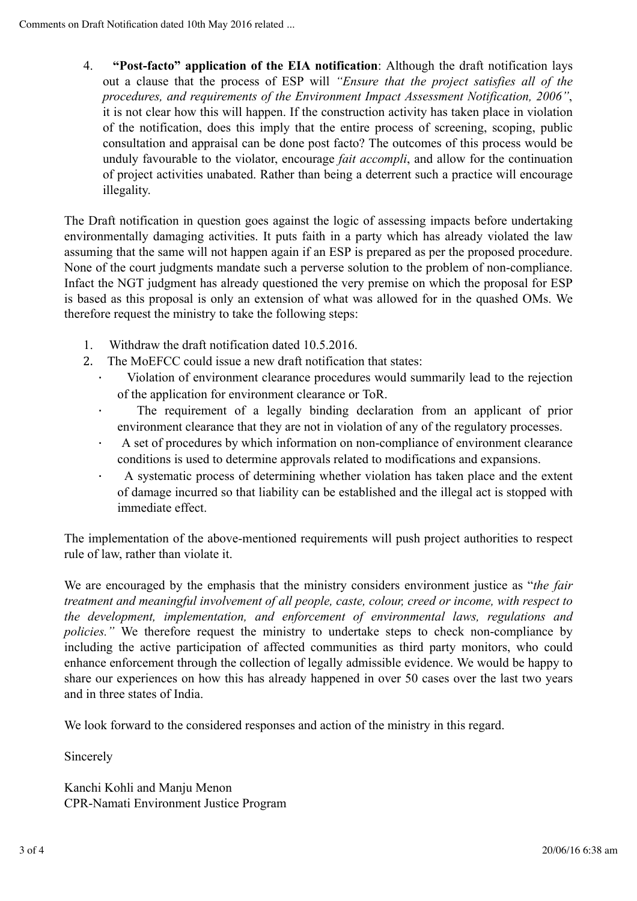4. **"Post-facto" application of the EIA notification**: Although the draft notification lays out a clause that the process of ESP will *"Ensure that the project satisfies all of the procedures, and requirements of the Environment Impact Assessment Notification, 2006"*, it is not clear how this will happen. If the construction activity has taken place in violation of the notification, does this imply that the entire process of screening, scoping, public consultation and appraisal can be done post facto? The outcomes of this process would be unduly favourable to the violator, encourage *fait accompli*, and allow for the continuation of project activities unabated. Rather than being a deterrent such a practice will encourage illegality.

The Draft notification in question goes against the logic of assessing impacts before undertaking environmentally damaging activities. It puts faith in a party which has already violated the law assuming that the same will not happen again if an ESP is prepared as per the proposed procedure. None of the court judgments mandate such a perverse solution to the problem of non-compliance. Infact the NGT judgment has already questioned the very premise on which the proposal for ESP is based as this proposal is only an extension of what was allowed for in the quashed OMs. We therefore request the ministry to take the following steps:

- 1. Withdraw the draft notification dated 10.5.2016.
- 2. The MoEFCC could issue a new draft notification that states:
	- Violation of environment clearance procedures would summarily lead to the rejection of the application for environment clearance or ToR.
	- · The requirement of a legally binding declaration from an applicant of prior environment clearance that they are not in violation of any of the regulatory processes.
	- A set of procedures by which information on non-compliance of environment clearance conditions is used to determine approvals related to modifications and expansions.
	- · A systematic process of determining whether violation has taken place and the extent of damage incurred so that liability can be established and the illegal act is stopped with immediate effect.

The implementation of the above-mentioned requirements will push project authorities to respect rule of law, rather than violate it.

We are encouraged by the emphasis that the ministry considers environment justice as "*the fair treatment and meaningful involvement of all people, caste, colour, creed or income, with respect to the development, implementation, and enforcement of environmental laws, regulations and policies.*" We therefore request the ministry to undertake steps to check non-compliance by including the active participation of affected communities as third party monitors, who could enhance enforcement through the collection of legally admissible evidence. We would be happy to share our experiences on how this has already happened in over 50 cases over the last two years and in three states of India.

We look forward to the considered responses and action of the ministry in this regard.

Sincerely

Kanchi Kohli and Manju Menon CPR-Namati Environment Justice Program